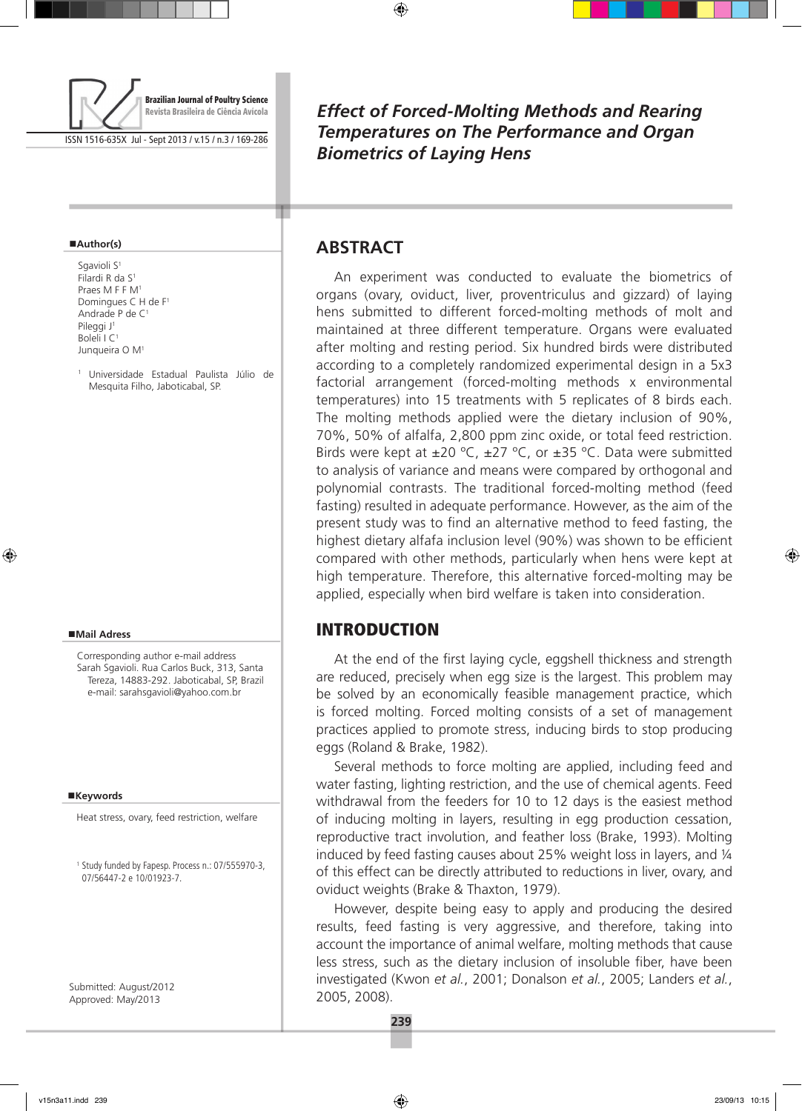

ISSN 1516-635X Jul - Sept 2013 / v.15 / n.3 / 169-286

#### **Author(s)**

Sgavioli S<sup>1</sup> Filardi R da S1 Praes M F F M<sup>1</sup> Domingues C H de F1 Andrade P de C1 Pileggi J<sup>1</sup> Boleli I C1 Junqueira O M1

<sup>1</sup> Universidade Estadual Paulista Júlio de Mesquita Filho, Jaboticabal, SP.

#### **Mail Adress**

Corresponding author e-mail address Sarah Sgavioli. Rua Carlos Buck, 313, Santa Tereza, 14883-292. Jaboticabal, SP, Brazil e-mail: sarahsgavioli@yahoo.com.br

#### **Keywords**

Heat stress, ovary, feed restriction, welfare

<sup>1</sup> Study funded by Fapesp. Process n.: 07/555970-3, 07/56447-2 e 10/01923-7.

Submitted: August/2012 Approved: May/2013

*Effect of Forced-Molting Methods and Rearing Temperatures on The Performance and Organ Biometrics of Laying Hens*

## **Abstract**

An experiment was conducted to evaluate the biometrics of organs (ovary, oviduct, liver, proventriculus and gizzard) of laying hens submitted to different forced-molting methods of molt and maintained at three different temperature. Organs were evaluated after molting and resting period. Six hundred birds were distributed according to a completely randomized experimental design in a 5x3 factorial arrangement (forced-molting methods x environmental temperatures) into 15 treatments with 5 replicates of 8 birds each. The molting methods applied were the dietary inclusion of 90%, 70%, 50% of alfalfa, 2,800 ppm zinc oxide, or total feed restriction. Birds were kept at  $\pm 20$  °C,  $\pm 27$  °C, or  $\pm 35$  °C. Data were submitted to analysis of variance and means were compared by orthogonal and polynomial contrasts. The traditional forced-molting method (feed fasting) resulted in adequate performance. However, as the aim of the present study was to find an alternative method to feed fasting, the highest dietary alfafa inclusion level (90%) was shown to be efficient compared with other methods, particularly when hens were kept at high temperature. Therefore, this alternative forced-molting may be applied, especially when bird welfare is taken into consideration.

## **INTRODUCTION**

At the end of the first laying cycle, eggshell thickness and strength are reduced, precisely when egg size is the largest. This problem may be solved by an economically feasible management practice, which is forced molting. Forced molting consists of a set of management practices applied to promote stress, inducing birds to stop producing eggs (Roland & Brake, 1982).

Several methods to force molting are applied, including feed and water fasting, lighting restriction, and the use of chemical agents. Feed withdrawal from the feeders for 10 to 12 days is the easiest method of inducing molting in layers, resulting in egg production cessation, reproductive tract involution, and feather loss (Brake, 1993). Molting induced by feed fasting causes about 25% weight loss in layers, and ¼ of this effect can be directly attributed to reductions in liver, ovary, and oviduct weights (Brake & Thaxton, 1979).

However, despite being easy to apply and producing the desired results, feed fasting is very aggressive, and therefore, taking into account the importance of animal welfare, molting methods that cause less stress, such as the dietary inclusion of insoluble fiber, have been investigated (Kwon *et al.*, 2001; Donalson *et al.*, 2005; Landers *et al.*, 2005, 2008).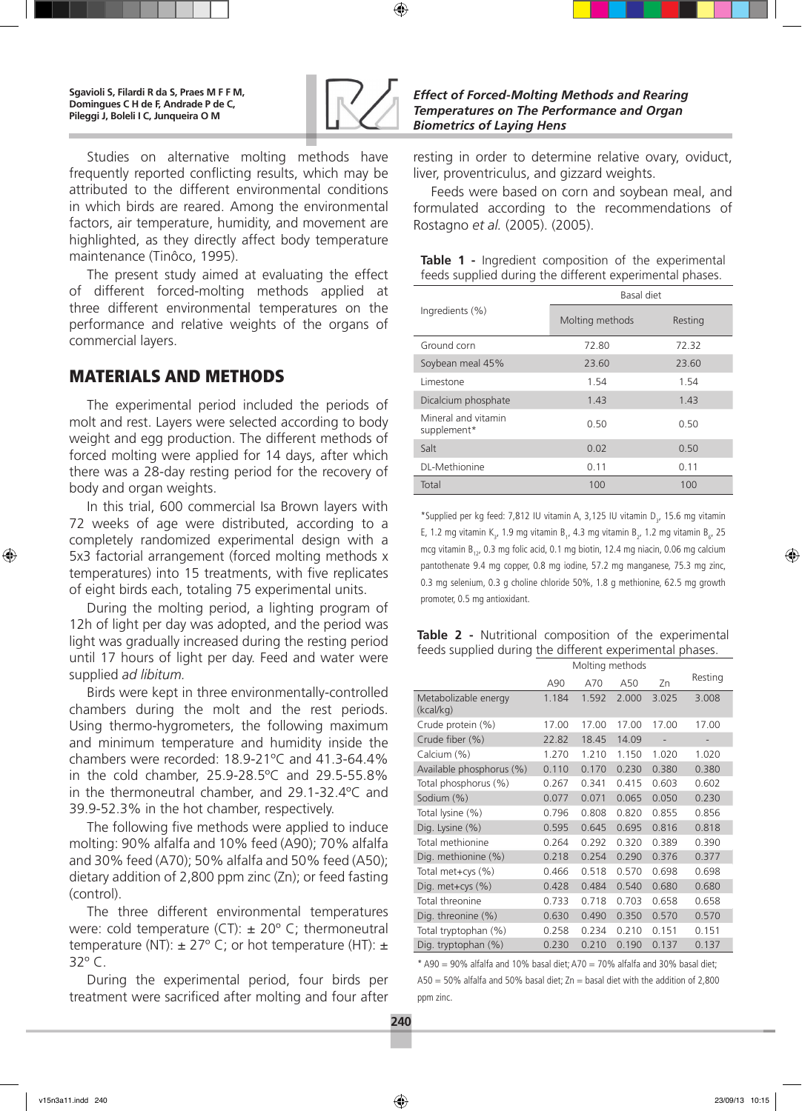

Studies on alternative molting methods have frequently reported conflicting results, which may be attributed to the different environmental conditions in which birds are reared. Among the environmental factors, air temperature, humidity, and movement are highlighted, as they directly affect body temperature maintenance (Tinôco, 1995).

The present study aimed at evaluating the effect of different forced-molting methods applied at three different environmental temperatures on the performance and relative weights of the organs of commercial layers.

# Materials and Methods

The experimental period included the periods of molt and rest. Layers were selected according to body weight and egg production. The different methods of forced molting were applied for 14 days, after which there was a 28-day resting period for the recovery of body and organ weights.

In this trial, 600 commercial Isa Brown layers with 72 weeks of age were distributed, according to a completely randomized experimental design with a 5x3 factorial arrangement (forced molting methods x temperatures) into 15 treatments, with five replicates of eight birds each, totaling 75 experimental units.

During the molting period, a lighting program of 12h of light per day was adopted, and the period was light was gradually increased during the resting period until 17 hours of light per day. Feed and water were supplied *ad libitum.*

Birds were kept in three environmentally-controlled chambers during the molt and the rest periods. Using thermo-hygrometers, the following maximum and minimum temperature and humidity inside the chambers were recorded: 18.9-21ºC and 41.3-64.4% in the cold chamber, 25.9-28.5ºC and 29.5-55.8% in the thermoneutral chamber, and 29.1-32.4ºC and 39.9-52.3% in the hot chamber, respectively.

The following five methods were applied to induce molting: 90% alfalfa and 10% feed (A90); 70% alfalfa and 30% feed (A70); 50% alfalfa and 50% feed (A50); dietary addition of 2,800 ppm zinc (Zn); or feed fasting (control).

The three different environmental temperatures were: cold temperature (CT):  $\pm$  20 $^{\circ}$  C; thermoneutral temperature (NT):  $\pm$  27° C; or hot temperature (HT):  $\pm$ 32º C.

During the experimental period, four birds per treatment were sacrificed after molting and four after resting in order to determine relative ovary, oviduct, liver, proventriculus, and gizzard weights.

Feeds were based on corn and soybean meal, and formulated according to the recommendations of Rostagno *et al.* (2005). (2005).

|  |  |  | Table 1 - Ingredient composition of the experimental     |
|--|--|--|----------------------------------------------------------|
|  |  |  | feeds supplied during the different experimental phases. |

|                                    | Basal diet      |         |  |  |  |  |  |
|------------------------------------|-----------------|---------|--|--|--|--|--|
| Ingredients (%)                    | Molting methods | Resting |  |  |  |  |  |
| Ground corn                        | 72.80           | 72.32   |  |  |  |  |  |
| Soybean meal 45%                   | 23.60           | 23.60   |  |  |  |  |  |
| Limestone                          | 1.54            | 1.54    |  |  |  |  |  |
| Dicalcium phosphate                | 1.43            | 1.43    |  |  |  |  |  |
| Mineral and vitamin<br>supplement* | 0.50            | 0.50    |  |  |  |  |  |
| Salt                               | 0.02            | 0.50    |  |  |  |  |  |
| DL-Methionine                      | 0.11            | 0.11    |  |  |  |  |  |
| Total                              | 100             | 100     |  |  |  |  |  |

\*Supplied per kg feed: 7,812 IU vitamin A, 3,125 IU vitamin D<sub>3</sub>, 15.6 mg vitamin E, 1.2 mg vitamin K<sub>3</sub>, 1.9 mg vitamin B<sub>1</sub>, 4.3 mg vitamin B<sub>2</sub>, 1.2 mg vitamin B<sub>6</sub>, 25 mcg vitamin  $B_{12}$ , 0.3 mg folic acid, 0.1 mg biotin, 12.4 mg niacin, 0.06 mg calcium pantothenate 9.4 mg copper, 0.8 mg iodine, 57.2 mg manganese, 75.3 mg zinc, 0.3 mg selenium, 0.3 g choline chloride 50%, 1.8 g methionine, 62.5 mg growth promoter, 0.5 mg antioxidant.

| Table 2 - Nutritional composition of the experimental    |  |  |  |  |  |  |  |  |
|----------------------------------------------------------|--|--|--|--|--|--|--|--|
| feeds supplied during the different experimental phases. |  |  |  |  |  |  |  |  |

|                                   | Molting methods |       |       |       |         |
|-----------------------------------|-----------------|-------|-------|-------|---------|
|                                   | A90             | A70   | A50   | Zn    | Resting |
| Metabolizable energy<br>(kcal/kg) | 1.184           | 1.592 | 2.000 | 3.025 | 3.008   |
| Crude protein (%)                 | 17.00           | 17.00 | 17.00 | 17.00 | 17.00   |
| Crude fiber (%)                   | 22.82           | 18.45 | 14.09 | -     |         |
| Calcium (%)                       | 1.270           | 1.210 | 1.150 | 1.020 | 1.020   |
| Available phosphorus (%)          | 0.110           | 0.170 | 0.230 | 0.380 | 0.380   |
| Total phosphorus (%)              | 0.267           | 0.341 | 0.415 | 0.603 | 0.602   |
| Sodium (%)                        | 0.077           | 0.071 | 0.065 | 0.050 | 0.230   |
| Total lysine (%)                  | 0.796           | 0.808 | 0.820 | 0.855 | 0.856   |
| Dig. Lysine (%)                   | 0.595           | 0.645 | 0.695 | 0.816 | 0.818   |
| Total methionine                  | 0.264           | 0.292 | 0.320 | 0.389 | 0.390   |
| Dig. methionine (%)               | 0.218           | 0.254 | 0.290 | 0.376 | 0.377   |
| Total met+cys (%)                 | 0.466           | 0.518 | 0.570 | 0.698 | 0.698   |
| Dig. met+cys $(\%)$               | 0.428           | 0.484 | 0.540 | 0.680 | 0.680   |
| Total threonine                   | 0.733           | 0.718 | 0.703 | 0.658 | 0.658   |
| Dig. threonine (%)                | 0.630           | 0.490 | 0.350 | 0.570 | 0.570   |
| Total tryptophan (%)              | 0.258           | 0.234 | 0.210 | 0.151 | 0.151   |
| Dig. tryptophan (%)               | 0.230           | 0.210 | 0.190 | 0.137 | 0.137   |

 $*$  A90 = 90% alfalfa and 10% basal diet; A70 = 70% alfalfa and 30% basal diet;  $A50 = 50\%$  alfalfa and 50% basal diet; Zn = basal diet with the addition of 2,800 ppm zinc.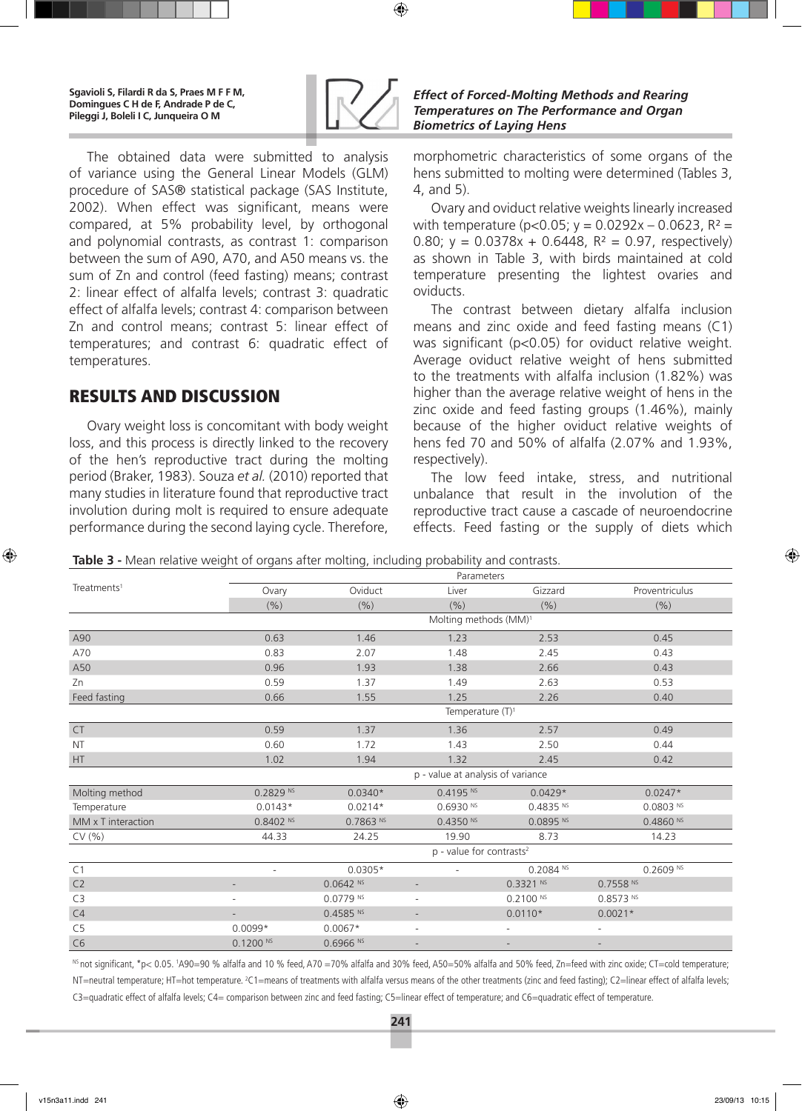

*Effect of Forced-Molting Methods and Rearing Temperatures on The Performance and Organ Biometrics of Laying Hens*

The obtained data were submitted to analysis of variance using the General Linear Models (GLM) procedure of SAS® statistical package (SAS Institute, 2002). When effect was significant, means were compared, at 5% probability level, by orthogonal and polynomial contrasts, as contrast 1: comparison between the sum of A90, A70, and A50 means vs. the sum of Zn and control (feed fasting) means; contrast 2: linear effect of alfalfa levels; contrast 3: quadratic effect of alfalfa levels; contrast 4: comparison between Zn and control means; contrast 5: linear effect of temperatures; and contrast 6: quadratic effect of temperatures.

# Results and Discussion

Ovary weight loss is concomitant with body weight loss, and this process is directly linked to the recovery of the hen's reproductive tract during the molting period (Braker, 1983). Souza *et al.* (2010) reported that many studies in literature found that reproductive tract involution during molt is required to ensure adequate performance during the second laying cycle. Therefore,

morphometric characteristics of some organs of the hens submitted to molting were determined (Tables 3, 4, and 5).

Ovary and oviduct relative weights linearly increased with temperature ( $p < 0.05$ ;  $y = 0.0292x - 0.0623$ ,  $R^2 =$ 0.80;  $y = 0.0378x + 0.6448$ ,  $R^2 = 0.97$ , respectively) as shown in Table 3, with birds maintained at cold temperature presenting the lightest ovaries and oviducts.

The contrast between dietary alfalfa inclusion means and zinc oxide and feed fasting means (C1) was significant (p<0.05) for oviduct relative weight. Average oviduct relative weight of hens submitted to the treatments with alfalfa inclusion (1.82%) was higher than the average relative weight of hens in the zinc oxide and feed fasting groups (1.46%), mainly because of the higher oviduct relative weights of hens fed 70 and 50% of alfalfa (2.07% and 1.93%, respectively).

The low feed intake, stress, and nutritional unbalance that result in the involution of the reproductive tract cause a cascade of neuroendocrine effects. Feed fasting or the supply of diets which

**Table 3 -** Mean relative weight of organs after molting, including probability and contrasts.

|                         | Parameters               |                                   |                                      |                        |                        |  |  |  |  |  |
|-------------------------|--------------------------|-----------------------------------|--------------------------------------|------------------------|------------------------|--|--|--|--|--|
| Treatments <sup>1</sup> | Ovary                    | Oviduct                           | Liver                                | Gizzard                | Proventriculus         |  |  |  |  |  |
|                         | (% )                     | (% )                              | (9/6)                                | (% )                   | (%)                    |  |  |  |  |  |
|                         |                          |                                   | Molting methods (MM) <sup>1</sup>    |                        |                        |  |  |  |  |  |
| A90                     | 0.63                     | 1.46                              | 1.23                                 | 2.53                   | 0.45                   |  |  |  |  |  |
| A70                     | 0.83                     | 2.07                              | 1.48                                 | 2.45                   | 0.43                   |  |  |  |  |  |
| A50                     | 0.96                     | 1.93                              | 1.38                                 | 2.66                   | 0.43                   |  |  |  |  |  |
| Zn                      | 0.59                     | 1.37                              | 1.49                                 | 2.63                   | 0.53                   |  |  |  |  |  |
| Feed fasting            | 0.66                     | 1.55                              | 1.25                                 | 2.26                   | 0.40                   |  |  |  |  |  |
|                         |                          |                                   | Temperature (T) <sup>1</sup>         |                        |                        |  |  |  |  |  |
| ${\sf CT}$              | 0.59                     | 1.37                              | 1.36                                 | 2.57                   | 0.49                   |  |  |  |  |  |
| <b>NT</b>               | 0.60                     | 1.72                              | 1.43                                 | 2.50                   | 0.44                   |  |  |  |  |  |
| HT                      | 1.02                     | 1.94                              | 1.32                                 | 2.45                   | 0.42                   |  |  |  |  |  |
|                         |                          | p - value at analysis of variance |                                      |                        |                        |  |  |  |  |  |
| Molting method          | $0.2829$ <sup>NS</sup>   | $0.0340*$                         | 0.4195 N                             | $0.0429*$              | $0.0247*$              |  |  |  |  |  |
| Temperature             | $0.0143*$                | $0.0214*$                         | $0.6930$ <sup>NS</sup>               | 0.4835 N               | $0.0803$ <sup>NS</sup> |  |  |  |  |  |
| MM x T interaction      | $0.8402$ NS              | $0.7863$ <sup>NS</sup>            | $0.4350$ NS                          | $0.0895$ <sup>NS</sup> | $0.4860$ <sup>NS</sup> |  |  |  |  |  |
| CV(% )                  | 44.33                    | 24.25                             | 19.90                                | 8.73                   | 14.23                  |  |  |  |  |  |
|                         |                          |                                   | p - value for contrasts <sup>2</sup> |                        |                        |  |  |  |  |  |
| C <sub>1</sub>          | ٠                        | $0.0305*$                         | $\overline{a}$                       | $0.2084$ <sup>NS</sup> | $0.2609$ <sup>NS</sup> |  |  |  |  |  |
| C2                      |                          | $0.0642$ <sup>NS</sup>            |                                      | $0.3321$ NS            | $0.7558$ NS            |  |  |  |  |  |
| C3                      | $\overline{\phantom{a}}$ | $0.0779$ <sup>NS</sup>            | $\overline{\phantom{a}}$             | $0.2100$ NS            | $0.8573$ <sup>NS</sup> |  |  |  |  |  |
| C4                      |                          | 0.4585 N                          |                                      | $0.0110*$              | $0.0021*$              |  |  |  |  |  |
| C <sub>5</sub>          | $0.0099*$                | $0.0067*$                         | $\overline{\phantom{a}}$             | $\overline{a}$         |                        |  |  |  |  |  |
| C <sub>6</sub>          | $0.1200$ NS              | $0.6966$ <sup>NS</sup>            |                                      |                        |                        |  |  |  |  |  |

<sup>ns</sup> not significant, \*p< 0.05. 'A90=90 % alfalfa and 10 % feed, A70 =70% alfalfa and 30% feed, A50=50% alfalfa and 50% feed, Zn=feed with zinc oxide; CT=cold temperature; NT=neutral temperature; HT=hot temperature. <sup>2</sup>C1=means of treatments with alfalfa versus means of the other treatments (zinc and feed fasting); C2=linear effect of alfalfa levels; C3=quadratic effect of alfalfa levels; C4= comparison between zinc and feed fasting; C5=linear effect of temperature; and C6=quadratic effect of temperature.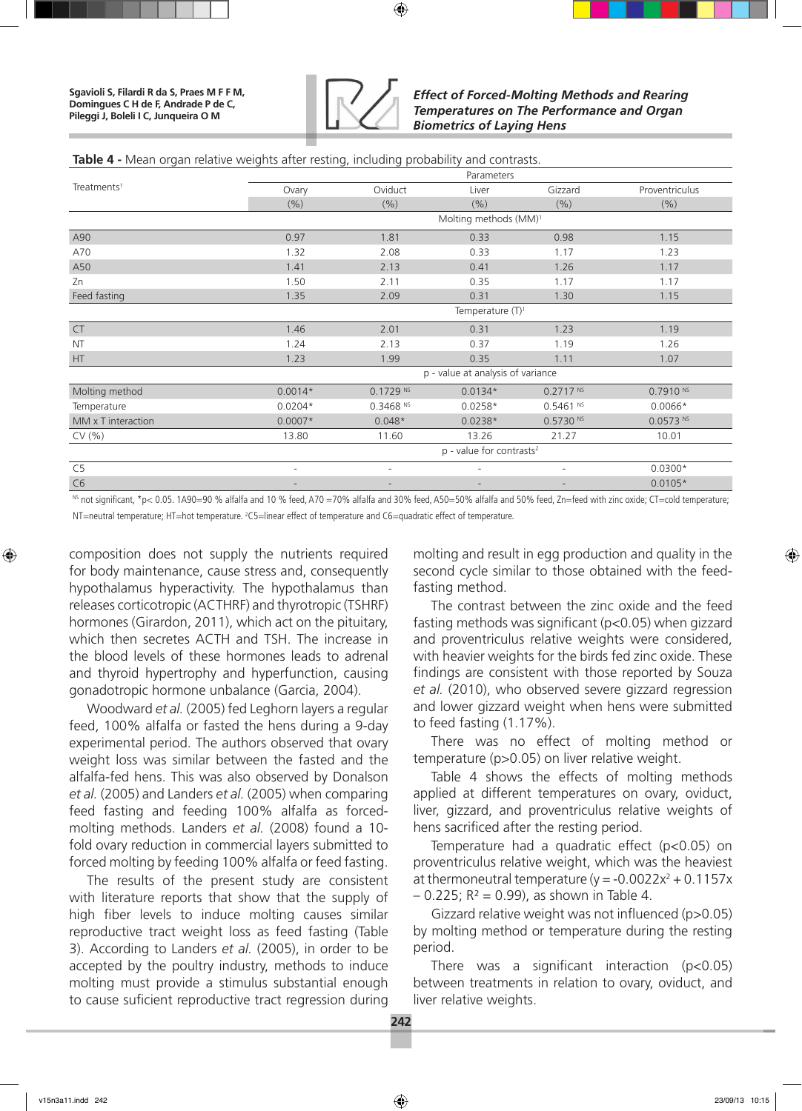

### **Table 4 -** Mean organ relative weights after resting, including probability and contrasts.

|                         | Parameters                             |                          |                                   |                          |                |  |  |  |  |  |
|-------------------------|----------------------------------------|--------------------------|-----------------------------------|--------------------------|----------------|--|--|--|--|--|
| Treatments <sup>1</sup> | Ovary                                  | Oviduct                  | Liver                             | Gizzard                  | Proventriculus |  |  |  |  |  |
|                         | (%)                                    | (9/6)                    | (9/6)                             | (% )                     | (% )           |  |  |  |  |  |
|                         |                                        |                          | Molting methods (MM) <sup>1</sup> |                          |                |  |  |  |  |  |
| A90                     | 0.97                                   | 1.81                     | 0.33                              | 0.98                     | 1.15           |  |  |  |  |  |
| A70                     | 1.32                                   | 2.08                     | 0.33                              | 1.17                     | 1.23           |  |  |  |  |  |
| A50                     | 1.41                                   | 2.13                     | 0.41                              | 1.26                     | 1.17           |  |  |  |  |  |
| Zn                      | 1.50                                   | 2.11                     | 0.35                              | 1.17                     | 1.17           |  |  |  |  |  |
| Feed fasting            | 1.35                                   | 2.09                     | 0.31                              | 1.30                     | 1.15           |  |  |  |  |  |
|                         | Temperature $(T)^1$                    |                          |                                   |                          |                |  |  |  |  |  |
| <b>CT</b>               | 1.46                                   | 2.01                     | 0.31                              | 1.23                     | 1.19           |  |  |  |  |  |
| <b>NT</b>               | 1.24                                   | 2.13                     | 0.37                              | 1.19                     | 1.26           |  |  |  |  |  |
| HT                      | 1.23                                   | 1.99                     | 0.35                              | 1.11                     | 1.07           |  |  |  |  |  |
|                         |                                        |                          | p - value at analysis of variance |                          |                |  |  |  |  |  |
| Molting method          | $0.0014*$                              | $0.1729$ <sup>NS</sup>   | $0.0134*$                         | 0.2717 Ns                | $0.7910$ NS    |  |  |  |  |  |
| Temperature             | $0.0204*$                              | $0.3468$ <sup>NS</sup>   | $0.0258*$                         | $0.5461$ <sup>NS</sup>   | $0.0066*$      |  |  |  |  |  |
| MM x T interaction      | $0.0007*$                              | $0.048*$                 | $0.0238*$                         | $0.5730$ <sup>NS</sup>   | $0.0573$ NS    |  |  |  |  |  |
| CV(% )                  | 13.80                                  | 11.60                    | 13.26                             | 21.27                    | 10.01          |  |  |  |  |  |
|                         | $p$ - value for contrasts <sup>2</sup> |                          |                                   |                          |                |  |  |  |  |  |
| C <sub>5</sub>          | $\overline{\phantom{a}}$               | ٠                        | $\overline{\phantom{a}}$          | $\overline{a}$           | $0.0300*$      |  |  |  |  |  |
| C <sub>6</sub>          | $\overline{\phantom{a}}$               | $\overline{\phantom{a}}$ | $\overline{\phantom{a}}$          | $\overline{\phantom{a}}$ | $0.0105*$      |  |  |  |  |  |

<sup>NS</sup> not significant, \*p< 0.05. 1A90=90 % alfalfa and 10 % feed, A70 =70% alfalfa and 30% feed, A50=50% alfalfa and 50% feed, Zn=feed with zinc oxide; CT=cold temperature; NT=neutral temperature; HT=hot temperature. 2 C5=linear effect of temperature and C6=quadratic effect of temperature.

composition does not supply the nutrients required for body maintenance, cause stress and, consequently hypothalamus hyperactivity. The hypothalamus than releases corticotropic (ACTHRF) and thyrotropic (TSHRF) hormones (Girardon, 2011), which act on the pituitary, which then secretes ACTH and TSH. The increase in the blood levels of these hormones leads to adrenal and thyroid hypertrophy and hyperfunction, causing gonadotropic hormone unbalance (Garcia, 2004).

Woodward *et al.* (2005) fed Leghorn layers a regular feed, 100% alfalfa or fasted the hens during a 9-day experimental period. The authors observed that ovary weight loss was similar between the fasted and the alfalfa-fed hens. This was also observed by Donalson *et al.* (2005) and Landers *et al.* (2005) when comparing feed fasting and feeding 100% alfalfa as forcedmolting methods. Landers *et al.* (2008) found a 10 fold ovary reduction in commercial layers submitted to forced molting by feeding 100% alfalfa or feed fasting.

The results of the present study are consistent with literature reports that show that the supply of high fiber levels to induce molting causes similar reproductive tract weight loss as feed fasting (Table 3). According to Landers *et al.* (2005), in order to be accepted by the poultry industry, methods to induce molting must provide a stimulus substantial enough to cause suficient reproductive tract regression during

molting and result in egg production and quality in the second cycle similar to those obtained with the feedfasting method.

The contrast between the zinc oxide and the feed fasting methods was significant (p<0.05) when gizzard and proventriculus relative weights were considered, with heavier weights for the birds fed zinc oxide. These findings are consistent with those reported by Souza *et al.* (2010), who observed severe gizzard regression and lower gizzard weight when hens were submitted to feed fasting (1.17%).

There was no effect of molting method or temperature (p>0.05) on liver relative weight.

Table 4 shows the effects of molting methods applied at different temperatures on ovary, oviduct, liver, gizzard, and proventriculus relative weights of hens sacrificed after the resting period.

Temperature had a quadratic effect (p<0.05) on proventriculus relative weight, which was the heaviest at thermoneutral temperature ( $y = -0.0022x^2 + 0.1157x$  $-$  0.225; R<sup>2</sup> = 0.99), as shown in Table 4.

Gizzard relative weight was not influenced (p>0.05) by molting method or temperature during the resting period.

There was a significant interaction (p<0.05) between treatments in relation to ovary, oviduct, and liver relative weights.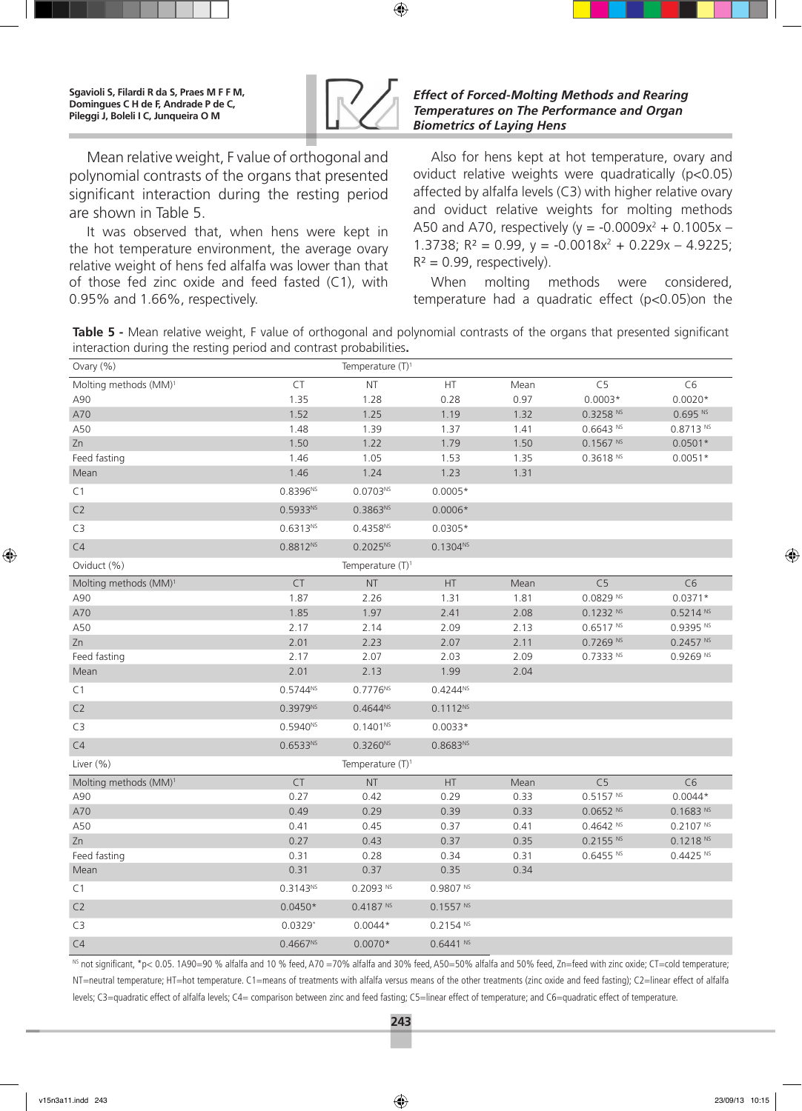

Mean relative weight, F value of orthogonal and polynomial contrasts of the organs that presented significant interaction during the resting period are shown in Table 5.

It was observed that, when hens were kept in the hot temperature environment, the average ovary relative weight of hens fed alfalfa was lower than that of those fed zinc oxide and feed fasted (C1), with 0.95% and 1.66%, respectively.

### *Effect of Forced-Molting Methods and Rearing Temperatures on The Performance and Organ Biometrics of Laying Hens*

Also for hens kept at hot temperature, ovary and oviduct relative weights were quadratically (p<0.05) affected by alfalfa levels (C3) with higher relative ovary and oviduct relative weights for molting methods A50 and A70, respectively ( $y = -0.0009x^2 + 0.1005x -$ 1.3738;  $R^2 = 0.99$ ,  $y = -0.0018x^2 + 0.229x - 4.9225$ ;  $R^2 = 0.99$ , respectively).

When molting methods were considered, temperature had a quadratic effect (p<0.05)on the

**Table 5 -** Mean relative weight, F value of orthogonal and polynomial contrasts of the organs that presented significant interaction during the resting period and contrast probabilities**.**

| Ovary (%)                         |               | Temperature (T) <sup>1</sup> |               |      |                        |                        |
|-----------------------------------|---------------|------------------------------|---------------|------|------------------------|------------------------|
| Molting methods (MM) <sup>1</sup> | CT            | $\sf{NT}$                    | HT.           | Mean | C <sub>5</sub>         | C <sub>6</sub>         |
| A90                               | 1.35          | 1.28                         | 0.28          | 0.97 | $0.0003*$              | $0.0020*$              |
| A70                               | 1.52          | 1.25                         | 1.19          | 1.32 | 0.3258 Ns              | 0.695 Ns               |
| A50                               | 1.48          | 1.39                         | 1.37          | 1.41 | $0.6643$ <sup>NS</sup> | 0.8713 N5              |
| Zn                                | 1.50          | 1.22                         | 1.79          | 1.50 | 0.1567 Ns              | $0.0501*$              |
| Feed fasting                      | 1.46          | 1.05                         | 1.53          | 1.35 | 0.3618 Ns              | $0.0051*$              |
| Mean                              | 1.46          | 1.24                         | 1.23          | 1.31 |                        |                        |
| C1                                | $0.8396^{NS}$ | $0.0703^{NS}$                | $0.0005*$     |      |                        |                        |
| C2                                | $0.5933^{NS}$ | $0.3863^{NS}$                | $0.0006*$     |      |                        |                        |
| C <sub>3</sub>                    | $0.6313^{NS}$ | $0.4358^{NS}$                | $0.0305*$     |      |                        |                        |
| C4                                | $0.8812^{NS}$ | $0.2025^{NS}$                | $0.1304^{NS}$ |      |                        |                        |
| Oviduct (%)                       |               | Temperature $(T)^1$          |               |      |                        |                        |
| Molting methods (MM) <sup>1</sup> | <b>CT</b>     | <b>NT</b>                    | HT.           | Mean | C <sub>5</sub>         | C6                     |
| A90                               | 1.87          | 2.26                         | 1.31          | 1.81 | 0.0829 Ns              | $0.0371*$              |
| A70                               | 1.85          | 1.97                         | 2.41          | 2.08 | 0.1232 Ns              | 0.5214 Ns              |
| A50                               | 2.17          | 2.14                         | 2.09          | 2.13 | 0.6517 Ns              | $0.9395$ NS            |
| Zn                                | 2.01          | 2.23                         | 2.07          | 2.11 | $0.7269$ <sup>NS</sup> | 0.2457 Ns              |
| Feed fasting                      | 2.17          | 2.07                         | 2.03          | 2.09 | $0.7333$ <sup>NS</sup> | $0.9269$ <sup>NS</sup> |
| Mean                              | 2.01          | 2.13                         | 1.99          | 2.04 |                        |                        |
| C1                                | $0.5744^{NS}$ | 0.7776Ns                     | $0.4244^{NS}$ |      |                        |                        |
| C2                                | $0.3979^{NS}$ | $0.4644^{NS}$                | $0.1112^{NS}$ |      |                        |                        |
| C <sub>3</sub>                    | $0.5940^{NS}$ | $0.1401^{NS}$                | $0.0033*$     |      |                        |                        |
| C4                                | $0.6533^{NS}$ | $0.3260^{NS}$                | $0.8683^{NS}$ |      |                        |                        |
| Liver (%)                         |               | Temperature $(T)^1$          |               |      |                        |                        |
| Molting methods (MM) <sup>1</sup> | <b>CT</b>     | <b>NT</b>                    | HT.           | Mean | C <sub>5</sub>         | C6                     |
| A90                               | 0.27          | 0.42                         | 0.29          | 0.33 | 0.5157 Ns              | $0.0044*$              |
| A70                               | 0.49          | 0.29                         | 0.39          | 0.33 | $0.0652$ <sup>NS</sup> | 0.1683 Ns              |
| A50                               | 0.41          | 0.45                         | 0.37          | 0.41 | $0.4642$ <sup>NS</sup> | 0.2107 Ns              |
| Zn                                | 0.27          | 0.43                         | 0.37          | 0.35 | 0.2155 Ns              | 0.1218 Ns              |
| Feed fasting                      | 0.31          | 0.28                         | 0.34          | 0.31 | $0.6455$ <sup>NS</sup> | 0.4425 N               |
| Mean                              | 0.31          | 0.37                         | 0.35          | 0.34 |                        |                        |
| C1                                | $0.3143^{NS}$ | $0.2093$ NS                  | 0.9807 Ns     |      |                        |                        |
| C <sub>2</sub>                    | $0.0450*$     | 0.4187 N                     | 0.1557 Ns     |      |                        |                        |
| C <sub>3</sub>                    | $0.0329*$     | $0.0044*$                    | 0.2154 N      |      |                        |                        |
| C4                                | $0.4667^{NS}$ | $0.0070*$                    | $0.6441$ NS   |      |                        |                        |

<sup>NS</sup> not significant, \*p< 0.05. 1A90=90 % alfalfa and 10 % feed, A70 =70% alfalfa and 30% feed, A50=50% alfalfa and 50% feed, Zn=feed with zinc oxide; CT=cold temperature; NT=neutral temperature; HT=hot temperature. C1=means of treatments with alfalfa versus means of the other treatments (zinc oxide and feed fasting); C2=linear effect of alfalfa levels; C3=quadratic effect of alfalfa levels; C4= comparison between zinc and feed fasting; C5=linear effect of temperature; and C6=quadratic effect of temperature.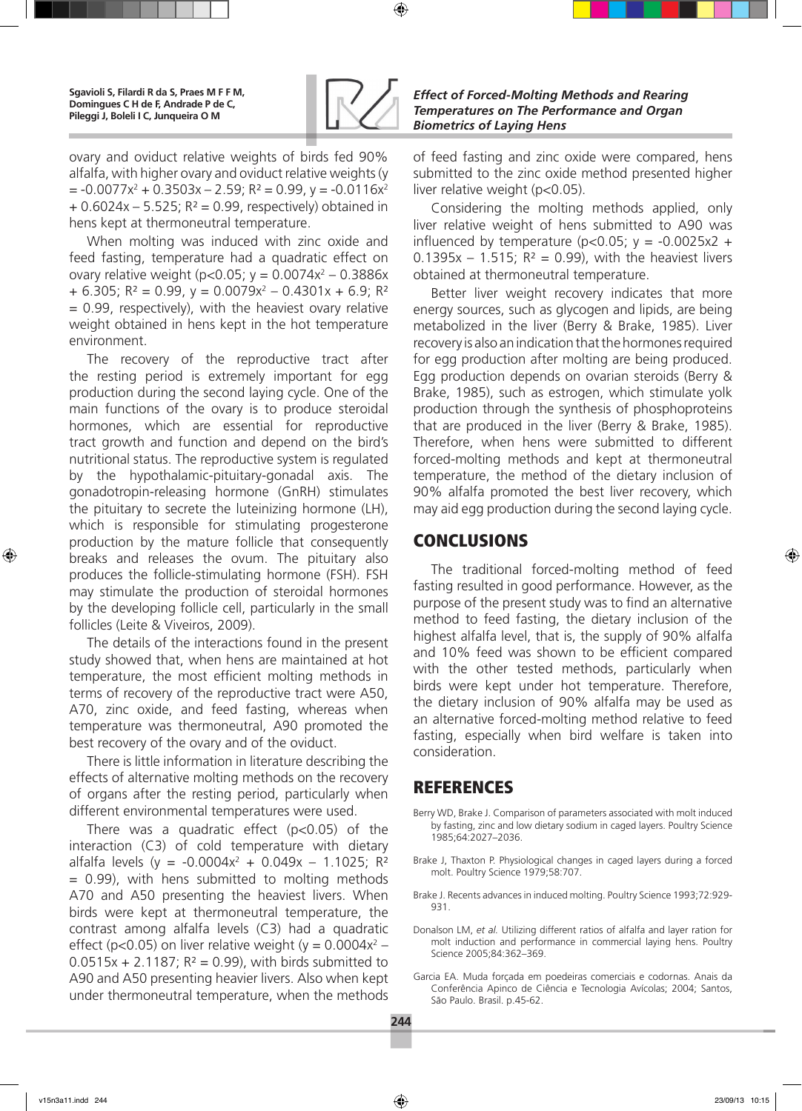

ovary and oviduct relative weights of birds fed 90% alfalfa, with higher ovary and oviduct relative weights (y = -0.0077x2 + 0.3503x – 2.59; R² = 0.99, y = -0.0116x2  $+ 0.6024x - 5.525$ ; R<sup>2</sup> = 0.99, respectively) obtained in hens kept at thermoneutral temperature.

When molting was induced with zinc oxide and feed fasting, temperature had a quadratic effect on ovary relative weight (p<0.05;  $y = 0.0074x^2 - 0.3886x$  $+ 6.305$ ; R<sup>2</sup> = 0.99, y = 0.0079x<sup>2</sup> – 0.4301x + 6.9; R<sup>2</sup>  $= 0.99$ , respectively), with the heaviest ovary relative weight obtained in hens kept in the hot temperature environment.

The recovery of the reproductive tract after the resting period is extremely important for egg production during the second laying cycle. One of the main functions of the ovary is to produce steroidal hormones, which are essential for reproductive tract growth and function and depend on the bird's nutritional status. The reproductive system is regulated by the hypothalamic-pituitary-gonadal axis. The gonadotropin-releasing hormone (GnRH) stimulates the pituitary to secrete the luteinizing hormone (LH), which is responsible for stimulating progesterone production by the mature follicle that consequently breaks and releases the ovum. The pituitary also produces the follicle-stimulating hormone (FSH). FSH may stimulate the production of steroidal hormones by the developing follicle cell, particularly in the small follicles (Leite & Viveiros, 2009).

The details of the interactions found in the present study showed that, when hens are maintained at hot temperature, the most efficient molting methods in terms of recovery of the reproductive tract were A50, A70, zinc oxide, and feed fasting, whereas when temperature was thermoneutral, A90 promoted the best recovery of the ovary and of the oviduct.

There is little information in literature describing the effects of alternative molting methods on the recovery of organs after the resting period, particularly when different environmental temperatures were used.

There was a quadratic effect (p<0.05) of the interaction (C3) of cold temperature with dietary alfalfa levels (y = -0.0004x<sup>2</sup> + 0.049x – 1.1025; R<sup>2</sup> = 0.99), with hens submitted to molting methods A70 and A50 presenting the heaviest livers. When birds were kept at thermoneutral temperature, the contrast among alfalfa levels (C3) had a quadratic effect (p<0.05) on liver relative weight (y =  $0.0004x^2$  –  $0.0515x + 2.1187$ ;  $R^2 = 0.99$ ), with birds submitted to A90 and A50 presenting heavier livers. Also when kept under thermoneutral temperature, when the methods

of feed fasting and zinc oxide were compared, hens submitted to the zinc oxide method presented higher liver relative weight (p<0.05).

Considering the molting methods applied, only liver relative weight of hens submitted to A90 was influenced by temperature ( $p < 0.05$ ;  $y = -0.0025x2 +$ 0.1395x - 1.515;  $R^2 = 0.99$ ), with the heaviest livers obtained at thermoneutral temperature.

Better liver weight recovery indicates that more energy sources, such as glycogen and lipids, are being metabolized in the liver (Berry & Brake, 1985). Liver recovery is also an indication that the hormones required for egg production after molting are being produced. Egg production depends on ovarian steroids (Berry & Brake, 1985), such as estrogen, which stimulate yolk production through the synthesis of phosphoproteins that are produced in the liver (Berry & Brake, 1985). Therefore, when hens were submitted to different forced-molting methods and kept at thermoneutral temperature, the method of the dietary inclusion of 90% alfalfa promoted the best liver recovery, which may aid egg production during the second laying cycle.

# **CONCLUSIONS**

The traditional forced-molting method of feed fasting resulted in good performance. However, as the purpose of the present study was to find an alternative method to feed fasting, the dietary inclusion of the highest alfalfa level, that is, the supply of 90% alfalfa and 10% feed was shown to be efficient compared with the other tested methods, particularly when birds were kept under hot temperature. Therefore, the dietary inclusion of 90% alfalfa may be used as an alternative forced-molting method relative to feed fasting, especially when bird welfare is taken into consideration.

## REFERENCES

- Berry WD, Brake J. Comparison of parameters associated with molt induced by fasting, zinc and low dietary sodium in caged layers. Poultry Science 1985;64:2027–2036.
- Brake J, Thaxton P. Physiological changes in caged layers during a forced molt. Poultry Science 1979;58:707.
- Brake J. Recents advances in induced molting. Poultry Science 1993;72:929- 931.
- Donalson LM, *et al.* Utilizing different ratios of alfalfa and layer ration for molt induction and performance in commercial laying hens. Poultry Science 2005;84:362–369.
- Garcia EA. Muda forçada em poedeiras comerciais e codornas. Anais da Conferência Apinco de Ciência e Tecnologia Avícolas; 2004; Santos, São Paulo. Brasil. p.45-62.